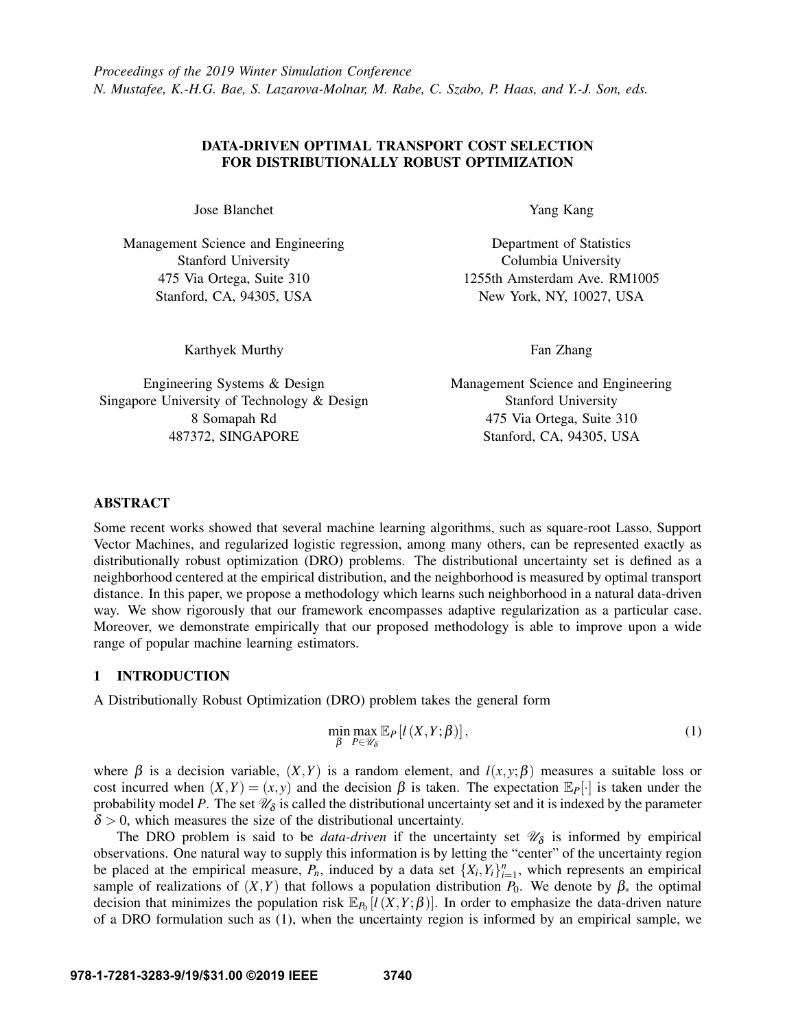*Proceedings of the 2019 Winter Simulation Conference N. Mustafee, K.-H.G. Bae, S. Lazarova-Molnar, M. Rabe, C. Szabo, P. Haas, and Y.-J. Son, eds.*

# DATA-DRIVEN OPTIMAL TRANSPORT COST SELECTION FOR DISTRIBUTIONALLY ROBUST OPTIMIZATION

Jose Blanchet

Management Science and Engineering Stanford University 475 Via Ortega, Suite 310 Stanford, CA, 94305, USA

Karthyek Murthy

Engineering Systems & Design Singapore University of Technology & Design 8 Somapah Rd 487372, SINGAPORE

Yang Kang

Department of Statistics Columbia University 1255th Amsterdam Ave. RM1005 New York, NY, 10027, USA

Fan Zhang

Management Science and Engineering Stanford University 475 Via Ortega, Suite 310 Stanford, CA, 94305, USA

# ABSTRACT

Some recent works showed that several machine learning algorithms, such as square-root Lasso, Support Vector Machines, and regularized logistic regression, among many others, can be represented exactly as distributionally robust optimization (DRO) problems. The distributional uncertainty set is defined as a neighborhood centered at the empirical distribution, and the neighborhood is measured by optimal transport distance. In this paper, we propose a methodology which learns such neighborhood in a natural data-driven way. We show rigorously that our framework encompasses adaptive regularization as a particular case. Moreover, we demonstrate empirically that our proposed methodology is able to improve upon a wide range of popular machine learning estimators.

# 1 INTRODUCTION

A Distributionally Robust Optimization (DRO) problem takes the general form

<span id="page-0-0"></span>
$$
\min_{\beta} \max_{P \in \mathcal{U}_{\delta}} \mathbb{E}_{P}[l(X, Y; \beta)], \qquad (1)
$$

where  $\beta$  is a decision variable,  $(X, Y)$  is a random element, and  $l(x, y; \beta)$  measures a suitable loss or cost incurred when  $(X,Y) = (x, y)$  and the decision  $\beta$  is taken. The expectation  $\mathbb{E}_P[\cdot]$  is taken under the probability model P. The set  $\mathscr{U}_{\delta}$  is called the distributional uncertainty set and it is indexed by the parameter  $\delta$  > 0, which measures the size of the distributional uncertainty.

The DRO problem is said to be *data-driven* if the uncertainty set  $\mathcal{U}_{\delta}$  is informed by empirical observations. One natural way to supply this information is by letting the "center" of the uncertainty region be placed at the empirical measure,  $P_n$ , induced by a data set  $\{X_i, Y_i\}_{i=1}^n$ , which represents an empirical sample of realizations of  $(X, Y)$  that follows a population distribution  $P_0$ . We denote by  $\beta_*$  the optimal decision that minimizes the population risk  $\mathbb{E}_{P_0}[l(X,Y;\beta)]$ . In order to emphasize the data-driven nature of a DRO formulation such as [\(1\)](#page-0-0), when the uncertainty region is informed by an empirical sample, we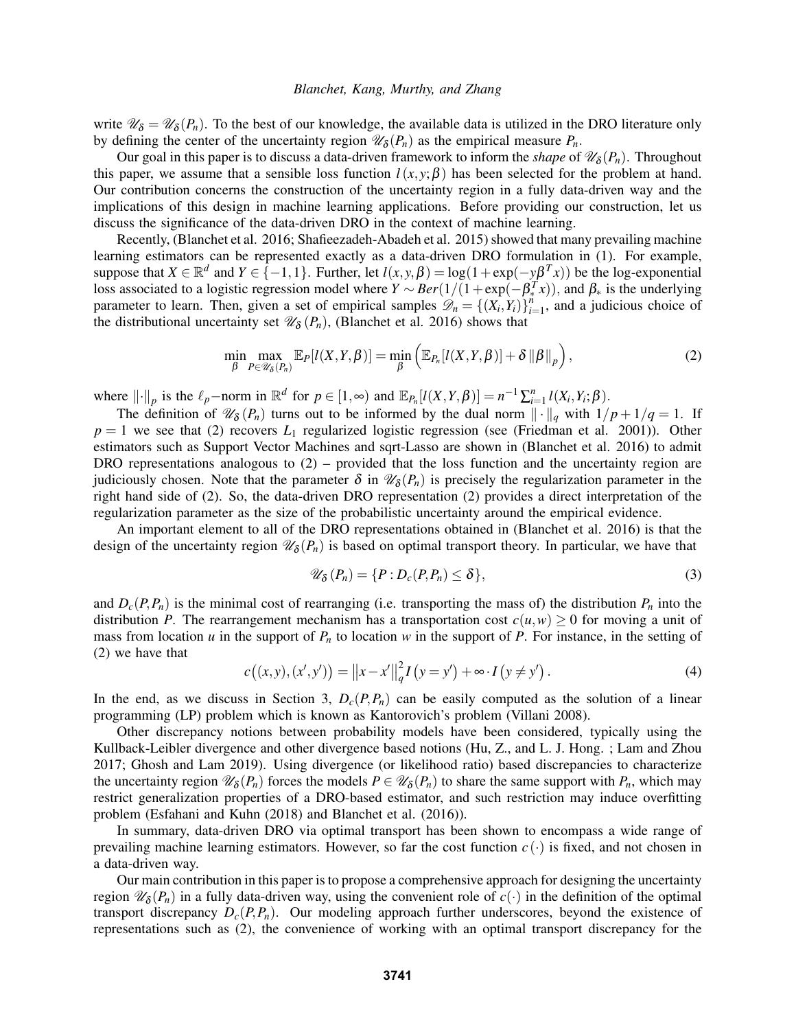write  $\mathscr{U}_{\delta} = \mathscr{U}_{\delta}(P_n)$ . To the best of our knowledge, the available data is utilized in the DRO literature only by defining the center of the uncertainty region  $\mathcal{U}_{\delta}(P_n)$  as the empirical measure  $P_n$ .

Our goal in this paper is to discuss a data-driven framework to inform the *shape* of  $\mathcal{U}_{\delta}(P_n)$ . Throughout this paper, we assume that a sensible loss function  $l(x, y; \beta)$  has been selected for the problem at hand. Our contribution concerns the construction of the uncertainty region in a fully data-driven way and the implications of this design in machine learning applications. Before providing our construction, let us discuss the significance of the data-driven DRO in the context of machine learning.

Recently, [\(Blanchet et al. 2016;](#page-11-0) [Shafieezadeh-Abadeh et al. 2015\)](#page-11-1) showed that many prevailing machine learning estimators can be represented exactly as a data-driven DRO formulation in [\(1\)](#page-0-0). For example, suppose that  $X \in \mathbb{R}^d$  and  $Y \in \{-1, 1\}$ . Further, let  $l(x, y, \beta) = \log(1 + \exp(-y\beta^T x))$  be the log-exponential loss associated to a logistic regression model where  $Y \sim Ber(1/(1+\exp(-\beta_*^T x))$ , and  $\beta_*$  is the underlying parameter to learn. Then, given a set of empirical samples  $\mathscr{D}_n = \{ (X_i, Y_i) \}_{i=1}^n$  $\sum_{i=1}^{n}$ , and a judicious choice of the distributional uncertainty set  $\mathcal{U}_{\delta}(P_n)$ , [\(Blanchet et al. 2016\)](#page-11-0) shows that

<span id="page-1-0"></span>
$$
\min_{\beta} \max_{P \in \mathscr{U}_{\delta}(P_n)} \mathbb{E}_P[l(X,Y,\beta)] = \min_{\beta} \left( \mathbb{E}_{P_n}[l(X,Y,\beta)] + \delta \left\| \beta \right\|_P \right),\tag{2}
$$

where  $\|\cdot\|_p$  is the  $\ell_p$ -norm in  $\mathbb{R}^d$  for  $p \in [1, \infty)$  and  $\mathbb{E}_{P_n}[l(X, Y, \beta)] = n^{-1} \sum_{i=1}^n l(X_i, Y_i; \beta)$ .

The definition of  $\mathscr{U}_{\delta}(P_n)$  turns out to be informed by the dual norm  $\|\cdot\|_q$  with  $1/p + 1/q = 1$ . If  $p = 1$  we see that [\(2\)](#page-1-0) recovers  $L_1$  regularized logistic regression (see [\(Friedman et al. 2001\)](#page-11-2)). Other estimators such as Support Vector Machines and sqrt-Lasso are shown in [\(Blanchet et al. 2016\)](#page-11-0) to admit DRO representations analogous to  $(2)$  – provided that the loss function and the uncertainty region are judiciously chosen. Note that the parameter  $\delta$  in  $\mathscr{U}_{\delta}(P_n)$  is precisely the regularization parameter in the right hand side of [\(2\)](#page-1-0). So, the data-driven DRO representation [\(2\)](#page-1-0) provides a direct interpretation of the regularization parameter as the size of the probabilistic uncertainty around the empirical evidence.

An important element to all of the DRO representations obtained in [\(Blanchet et al. 2016\)](#page-11-0) is that the design of the uncertainty region  $\mathscr{U}_{\delta}(P_n)$  is based on optimal transport theory. In particular, we have that

<span id="page-1-1"></span>
$$
\mathscr{U}_{\delta}(P_n) = \{ P : D_c(P, P_n) \leq \delta \},\tag{3}
$$

and  $D_c(P, P_n)$  is the minimal cost of rearranging (i.e. transporting the mass of) the distribution  $P_n$  into the distribution *P*. The rearrangement mechanism has a transportation cost  $c(u, w) \ge 0$  for moving a unit of mass from location *u* in the support of  $P_n$  to location *w* in the support of *P*. For instance, in the setting of [\(2\)](#page-1-0) we have that

<span id="page-1-2"></span>
$$
c((x, y), (x', y')) = ||x - x'||_q^2 I(y = y') + \infty \cdot I(y \neq y').
$$
\n(4)

In the end, as we discuss in Section [3,](#page-3-0)  $D_c(P, P_n)$  can be easily computed as the solution of a linear programming (LP) problem which is known as Kantorovich's problem [\(Villani 2008\)](#page-11-3).

Other discrepancy notions between probability models have been considered, typically using the Kullback-Leibler divergence and other divergence based notions [\(Hu, Z., and L. J. Hong.](#page-11-4) ; [Lam and Zhou](#page-11-5) [2017;](#page-11-5) [Ghosh and Lam 2019\)](#page-11-6). Using divergence (or likelihood ratio) based discrepancies to characterize the uncertainty region  $\mathscr{U}_{\delta}(P_n)$  forces the models  $P \in \mathscr{U}_{\delta}(P_n)$  to share the same support with  $P_n$ , which may restrict generalization properties of a DRO-based estimator, and such restriction may induce overfitting problem [\(Esfahani and Kuhn \(2018\)](#page-11-7) and [Blanchet et al. \(2016\)\)](#page-11-0).

In summary, data-driven DRO via optimal transport has been shown to encompass a wide range of prevailing machine learning estimators. However, so far the cost function  $c(\cdot)$  is fixed, and not chosen in a data-driven way.

Our main contribution in this paper is to propose a comprehensive approach for designing the uncertainty region  $\mathscr{U}_{\delta}(P_n)$  in a fully data-driven way, using the convenient role of  $c(\cdot)$  in the definition of the optimal transport discrepancy  $D_c(P, P_n)$ . Our modeling approach further underscores, beyond the existence of representations such as [\(2\)](#page-1-0), the convenience of working with an optimal transport discrepancy for the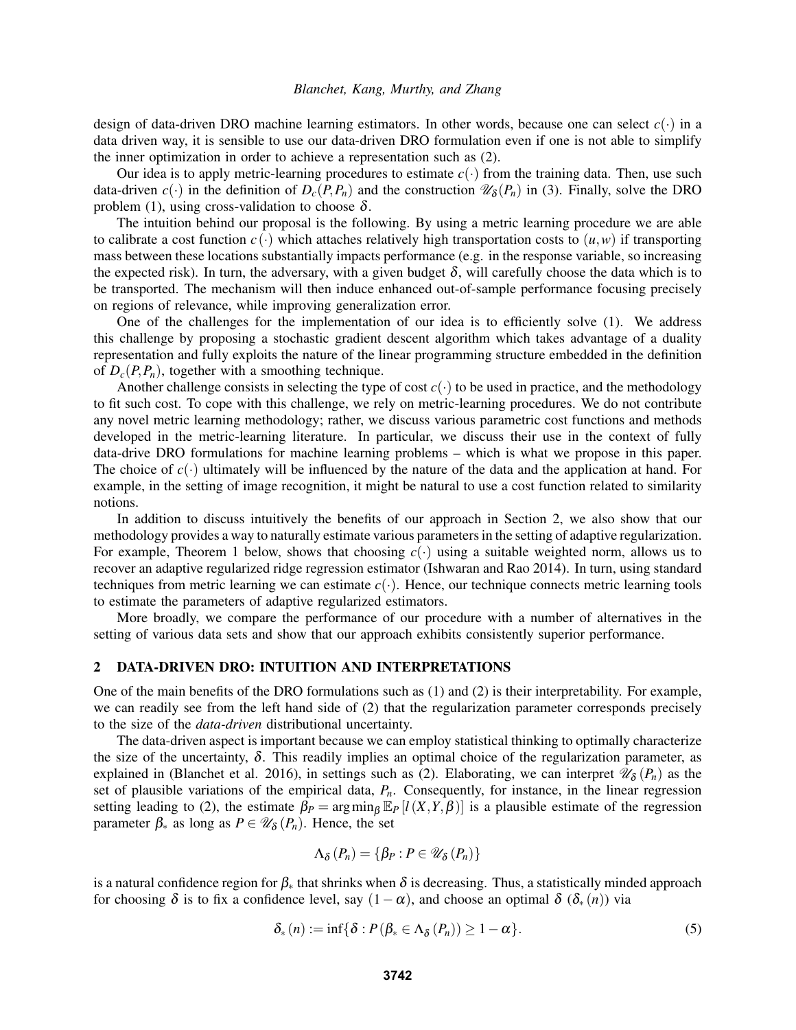design of data-driven DRO machine learning estimators. In other words, because one can select  $c(\cdot)$  in a data driven way, it is sensible to use our data-driven DRO formulation even if one is not able to simplify the inner optimization in order to achieve a representation such as [\(2\)](#page-1-0).

Our idea is to apply metric-learning procedures to estimate  $c(\cdot)$  from the training data. Then, use such data-driven  $c(\cdot)$  in the definition of  $D_c(P, P_n)$  and the construction  $\mathscr{U}_{\delta}(P_n)$  in [\(3\)](#page-1-1). Finally, solve the DRO problem [\(1\)](#page-0-0), using cross-validation to choose  $\delta$ .

The intuition behind our proposal is the following. By using a metric learning procedure we are able to calibrate a cost function  $c(\cdot)$  which attaches relatively high transportation costs to  $(u, w)$  if transporting mass between these locations substantially impacts performance (e.g. in the response variable, so increasing the expected risk). In turn, the adversary, with a given budget  $\delta$ , will carefully choose the data which is to be transported. The mechanism will then induce enhanced out-of-sample performance focusing precisely on regions of relevance, while improving generalization error.

One of the challenges for the implementation of our idea is to efficiently solve [\(1\)](#page-0-0). We address this challenge by proposing a stochastic gradient descent algorithm which takes advantage of a duality representation and fully exploits the nature of the linear programming structure embedded in the definition of  $D_c(P, P_n)$ , together with a smoothing technique.

Another challenge consists in selecting the type of cost  $c(\cdot)$  to be used in practice, and the methodology to fit such cost. To cope with this challenge, we rely on metric-learning procedures. We do not contribute any novel metric learning methodology; rather, we discuss various parametric cost functions and methods developed in the metric-learning literature. In particular, we discuss their use in the context of fully data-drive DRO formulations for machine learning problems – which is what we propose in this paper. The choice of  $c(\cdot)$  ultimately will be influenced by the nature of the data and the application at hand. For example, in the setting of image recognition, it might be natural to use a cost function related to similarity notions.

In addition to discuss intuitively the benefits of our approach in Section [2,](#page-2-0) we also show that our methodology provides a way to naturally estimate various parameters in the setting of adaptive regularization. For example, Theorem [1](#page-6-0) below, shows that choosing  $c(\cdot)$  using a suitable weighted norm, allows us to recover an adaptive regularized ridge regression estimator [\(Ishwaran and Rao 2014\)](#page-11-8). In turn, using standard techniques from metric learning we can estimate  $c(\cdot)$ . Hence, our technique connects metric learning tools to estimate the parameters of adaptive regularized estimators.

More broadly, we compare the performance of our procedure with a number of alternatives in the setting of various data sets and show that our approach exhibits consistently superior performance.

### <span id="page-2-0"></span>2 DATA-DRIVEN DRO: INTUITION AND INTERPRETATIONS

One of the main benefits of the DRO formulations such as [\(1\)](#page-0-0) and [\(2\)](#page-1-0) is their interpretability. For example, we can readily see from the left hand side of [\(2\)](#page-1-0) that the regularization parameter corresponds precisely to the size of the *data-driven* distributional uncertainty.

The data-driven aspect is important because we can employ statistical thinking to optimally characterize the size of the uncertainty,  $\delta$ . This readily implies an optimal choice of the regularization parameter, as explained in [\(Blanchet et al. 2016\)](#page-11-0), in settings such as [\(2\)](#page-1-0). Elaborating, we can interpret  $\mathscr{U}_{\delta}(P_n)$  as the set of plausible variations of the empirical data, *Pn*. Consequently, for instance, in the linear regression setting leading to [\(2\)](#page-1-0), the estimate  $\beta_P = \arg \min_{\beta} \mathbb{E}_P [l(X, Y, \beta)]$  is a plausible estimate of the regression parameter  $\beta_*$  as long as  $P \in \mathcal{U}_{\delta}(P_n)$ . Hence, the set

$$
\Lambda_{\delta}\left(P_{n}\right)=\left\{ \beta_{P}:P\in\mathscr{U}_{\delta}\left(P_{n}\right)\right\}
$$

is a natural confidence region for  $\beta_*$  that shrinks when  $\delta$  is decreasing. Thus, a statistically minded approach for choosing  $\delta$  is to fix a confidence level, say  $(1-\alpha)$ , and choose an optimal  $\delta(\delta_*(n))$  via

<span id="page-2-1"></span>
$$
\delta_* (n) := \inf \{ \delta : P(\beta_* \in \Lambda_{\delta}(P_n)) \geq 1 - \alpha \}. \tag{5}
$$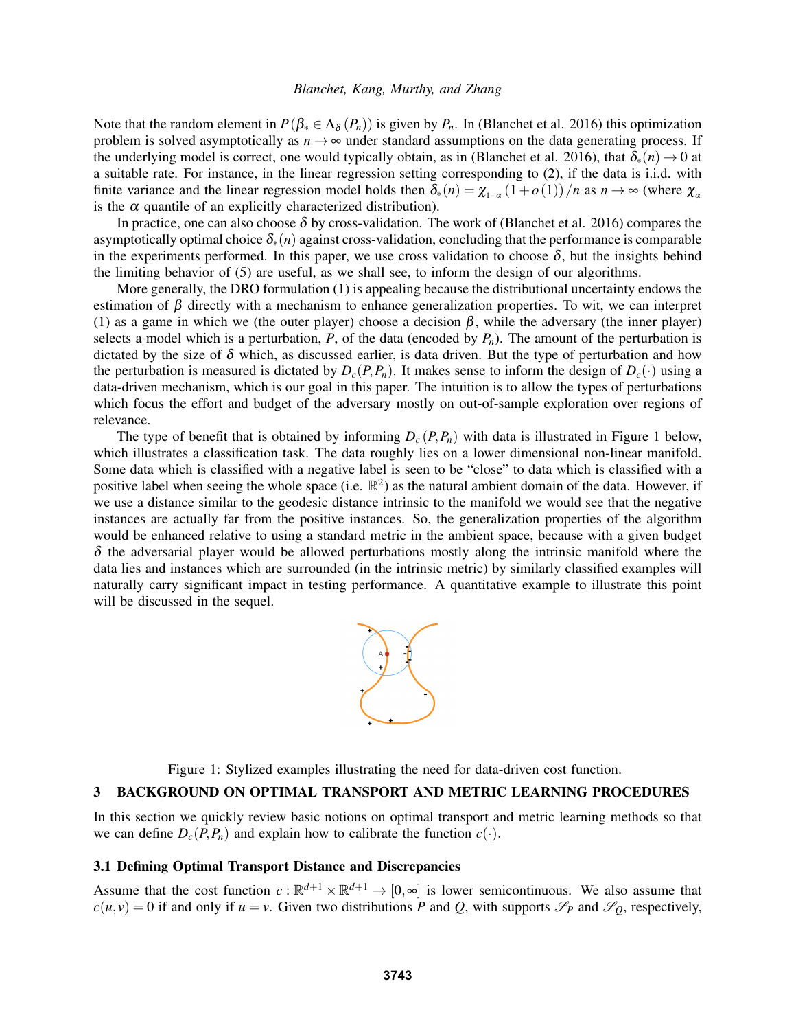Note that the random element in  $P(\beta_* \in \Lambda_{\delta}(P_n))$  is given by  $P_n$ . In [\(Blanchet et al. 2016\)](#page-11-0) this optimization problem is solved asymptotically as  $n \to \infty$  under standard assumptions on the data generating process. If the underlying model is correct, one would typically obtain, as in [\(Blanchet et al. 2016\)](#page-11-0), that  $\delta_*(n) \to 0$  at a suitable rate. For instance, in the linear regression setting corresponding to [\(2\)](#page-1-0), if the data is i.i.d. with finite variance and the linear regression model holds then  $\delta_*(n) = \chi_{1-\alpha}(1+o(1))/n$  as  $n \to \infty$  (where  $\chi_\alpha$ is the  $\alpha$  quantile of an explicitly characterized distribution).

In practice, one can also choose  $\delta$  by cross-validation. The work of [\(Blanchet et al. 2016\)](#page-11-0) compares the asymptotically optimal choice δ∗(*n*) against cross-validation, concluding that the performance is comparable in the experiments performed. In this paper, we use cross validation to choose  $\delta$ , but the insights behind the limiting behavior of [\(5\)](#page-2-1) are useful, as we shall see, to inform the design of our algorithms.

More generally, the DRO formulation [\(1\)](#page-0-0) is appealing because the distributional uncertainty endows the estimation of  $\beta$  directly with a mechanism to enhance generalization properties. To wit, we can interpret [\(1\)](#page-0-0) as a game in which we (the outer player) choose a decision  $\beta$ , while the adversary (the inner player) selects a model which is a perturbation,  $P$ , of the data (encoded by  $P_n$ ). The amount of the perturbation is dictated by the size of  $\delta$  which, as discussed earlier, is data driven. But the type of perturbation and how the perturbation is measured is dictated by  $D_c(P, P_n)$ . It makes sense to inform the design of  $D_c(\cdot)$  using a data-driven mechanism, which is our goal in this paper. The intuition is to allow the types of perturbations which focus the effort and budget of the adversary mostly on out-of-sample exploration over regions of relevance.

The type of benefit that is obtained by informing  $D_c(P, P_n)$  with data is illustrated in Figure [1](#page-3-1) below, which illustrates a classification task. The data roughly lies on a lower dimensional non-linear manifold. Some data which is classified with a negative label is seen to be "close" to data which is classified with a positive label when seeing the whole space (i.e.  $\mathbb{R}^2$ ) as the natural ambient domain of the data. However, if we use a distance similar to the geodesic distance intrinsic to the manifold we would see that the negative instances are actually far from the positive instances. So, the generalization properties of the algorithm would be enhanced relative to using a standard metric in the ambient space, because with a given budget  $\delta$  the adversarial player would be allowed perturbations mostly along the intrinsic manifold where the data lies and instances which are surrounded (in the intrinsic metric) by similarly classified examples will naturally carry significant impact in testing performance. A quantitative example to illustrate this point will be discussed in the sequel.



<span id="page-3-1"></span>Figure 1: Stylized examples illustrating the need for data-driven cost function.

### <span id="page-3-0"></span>3 BACKGROUND ON OPTIMAL TRANSPORT AND METRIC LEARNING PROCEDURES

In this section we quickly review basic notions on optimal transport and metric learning methods so that we can define  $D_c(P, P_n)$  and explain how to calibrate the function  $c(\cdot)$ .

### 3.1 Defining Optimal Transport Distance and Discrepancies

Assume that the cost function  $c : \mathbb{R}^{d+1} \times \mathbb{R}^{d+1} \to [0, \infty]$  is lower semicontinuous. We also assume that  $c(u, v) = 0$  if and only if  $u = v$ . Given two distributions *P* and *Q*, with supports  $\mathscr{S}_P$  and  $\mathscr{S}_Q$ , respectively,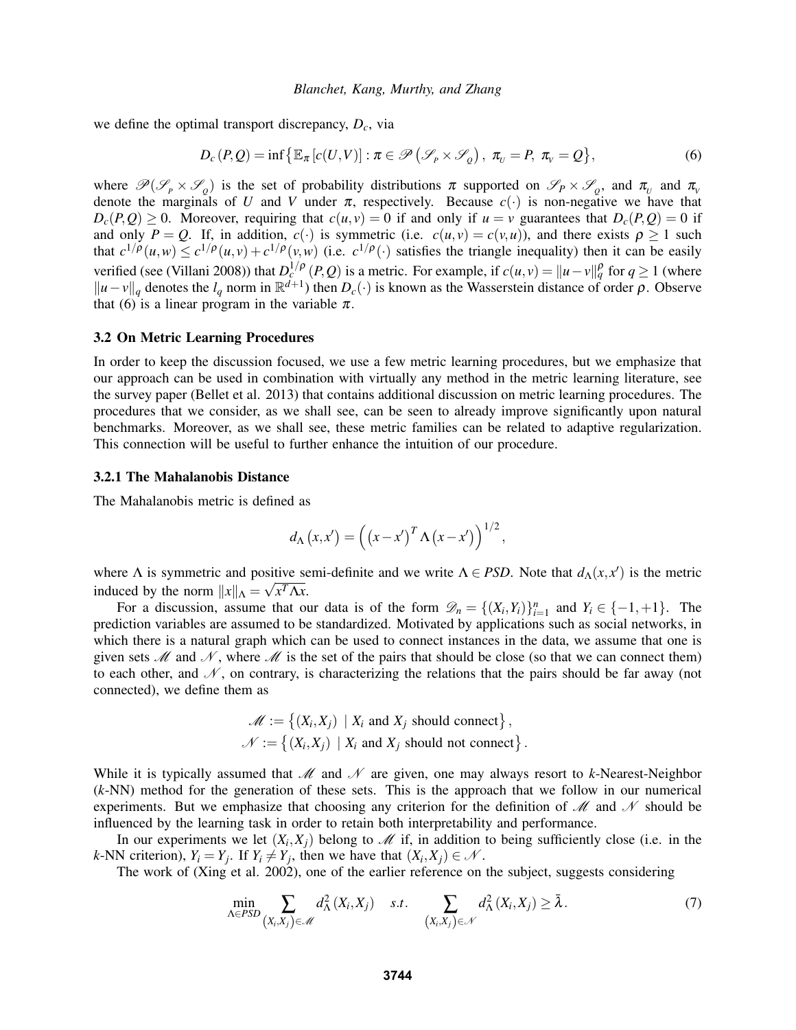we define the optimal transport discrepancy, *Dc*, via

<span id="page-4-0"></span>
$$
D_c(P,Q) = \inf \{ \mathbb{E}_{\pi} [c(U,V)] : \pi \in \mathcal{P} \left( \mathcal{S}_P \times \mathcal{S}_Q \right), \pi_U = P, \pi_V = Q \},\tag{6}
$$

where  $\mathcal{P}(\mathcal{S}_P \times \mathcal{S}_Q)$  is the set of probability distributions  $\pi$  supported on  $\mathcal{S}_P \times \mathcal{S}_Q$ , and  $\pi_v$  and  $\pi_v$ denote the marginals of *U* and *V* under  $\pi$ , respectively. Because  $c(\cdot)$  is non-negative we have that  $D_c(P,Q) \geq 0$ . Moreover, requiring that  $c(u, v) = 0$  if and only if  $u = v$  guarantees that  $D_c(P,Q) = 0$  if and only  $P = Q$ . If, in addition,  $c(\cdot)$  is symmetric (i.e.  $c(u, v) = c(v, u)$ ), and there exists  $\rho \ge 1$  such that  $c^{1/\rho}(u,w) \leq c^{1/\rho}(u,v) + c^{1/\rho}(v,w)$  (i.e.  $c^{1/\rho}(\cdot)$  satisfies the triangle inequality) then it can be easily verified (see [\(Villani 2008\)](#page-11-3)) that  $D_c^{1/p}(P,Q)$  is a metric. For example, if  $c(u, v) = ||u - v||_q^p$  for  $q \ge 1$  (where  $||u - v||_q$  denotes the *l<sub>q</sub>* norm in ℝ<sup>*d*+1</sup>) then *D<sub>c</sub>*(·) is known as the Wasserstein distance of order *ρ*. Observe that [\(6\)](#page-4-0) is a linear program in the variable  $\pi$ .

### 3.2 On Metric Learning Procedures

In order to keep the discussion focused, we use a few metric learning procedures, but we emphasize that our approach can be used in combination with virtually any method in the metric learning literature, see the survey paper [\(Bellet et al. 2013\)](#page-11-9) that contains additional discussion on metric learning procedures. The procedures that we consider, as we shall see, can be seen to already improve significantly upon natural benchmarks. Moreover, as we shall see, these metric families can be related to adaptive regularization. This connection will be useful to further enhance the intuition of our procedure.

#### <span id="page-4-2"></span>3.2.1 The Mahalanobis Distance

The Mahalanobis metric is defined as

$$
d_{\Lambda}(x,x') = \left( \left( x - x' \right)^T \Lambda \left( x - x' \right) \right)^{1/2},
$$

where  $\Lambda$  is symmetric and positive semi-definite and we write  $\Lambda \in PSD$ . Note that  $d_{\Lambda}(x, x')$  is the metric induced by the norm  $||x||_{\Lambda} = \sqrt{x^T \Lambda x}$ .

For a discussion, assume that our data is of the form  $\mathcal{D}_n = \{(X_i, Y_i)\}_{i=1}^n$  and  $Y_i \in \{-1, +1\}$ . The prediction variables are assumed to be standardized. Motivated by applications such as social networks, in which there is a natural graph which can be used to connect instances in the data, we assume that one is given sets  $\mathcal M$  and  $\mathcal N$ , where  $\mathcal M$  is the set of the pairs that should be close (so that we can connect them) to each other, and  $\mathcal N$ , on contrary, is characterizing the relations that the pairs should be far away (not connected), we define them as

$$
\mathcal{M} := \{(X_i, X_j) \mid X_i \text{ and } X_j \text{ should connect}\},\
$$

$$
\mathcal{N} := \{(X_i, X_j) \mid X_i \text{ and } X_j \text{ should not connect}\}.
$$

While it is typically assumed that  $M$  and  $N$  are given, one may always resort to *k*-Nearest-Neighbor (*k*-NN) method for the generation of these sets. This is the approach that we follow in our numerical experiments. But we emphasize that choosing any criterion for the definition of  $\mathcal M$  and  $\mathcal N$  should be influenced by the learning task in order to retain both interpretability and performance.

In our experiments we let  $(X_i, X_j)$  belong to  $\mathcal M$  if, in addition to being sufficiently close (i.e. in the *k*-NN criterion),  $Y_i = Y_j$ . If  $Y_i \neq Y_j$ , then we have that  $(X_i, X_j) \in \mathcal{N}$ .

The work of [\(Xing et al. 2002\)](#page-11-10), one of the earlier reference on the subject, suggests considering

<span id="page-4-1"></span>
$$
\min_{\Lambda \in PSD} \sum_{(X_i, X_j) \in \mathcal{M}} d_{\Lambda}^2(X_i, X_j) \quad s.t. \quad \sum_{(X_i, X_j) \in \mathcal{N}} d_{\Lambda}^2(X_i, X_j) \ge \bar{\lambda}.
$$
\n(7)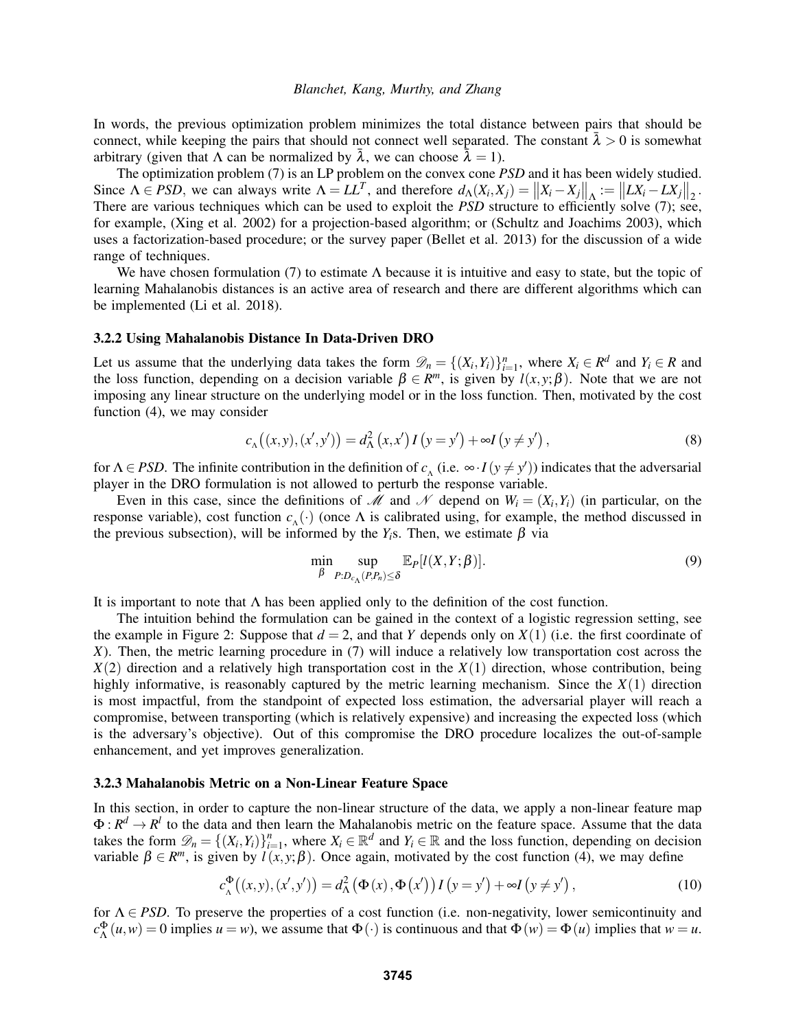In words, the previous optimization problem minimizes the total distance between pairs that should be connect, while keeping the pairs that should not connect well separated. The constant  $\lambda > 0$  is somewhat arbitrary (given that  $\Lambda$  can be normalized by  $\bar{\lambda}$ , we can choose  $\bar{\lambda} = 1$ ).

The optimization problem [\(7\)](#page-4-1) is an LP problem on the convex cone *PSD* and it has been widely studied. Since  $\Lambda \in PSD$ , we can always write  $\Lambda = LL^T$ , and therefore  $d_{\Lambda}(X_i, X_j) = ||X_i - X_j||_{\Lambda} := ||LX_i - LX_j||_2$ . There are various techniques which can be used to exploit the *PSD* structure to efficiently solve [\(7\)](#page-4-1); see, for example, [\(Xing et al. 2002\)](#page-11-10) for a projection-based algorithm; or [\(Schultz and Joachims 2003\)](#page-11-11), which uses a factorization-based procedure; or the survey paper [\(Bellet et al. 2013\)](#page-11-9) for the discussion of a wide range of techniques.

We have chosen formulation [\(7\)](#page-4-1) to estimate  $\Lambda$  because it is intuitive and easy to state, but the topic of learning Mahalanobis distances is an active area of research and there are different algorithms which can be implemented [\(Li et al. 2018\)](#page-11-12).

#### <span id="page-5-0"></span>3.2.2 Using Mahalanobis Distance In Data-Driven DRO

Let us assume that the underlying data takes the form  $\mathcal{D}_n = \{(X_i, Y_i)\}_{i=1}^n$ , where  $X_i \in \mathbb{R}^d$  and  $Y_i \in \mathbb{R}$  and the loss function, depending on a decision variable  $\beta \in R^m$ , is given by  $l(x, y; \beta)$ . Note that we are not imposing any linear structure on the underlying model or in the loss function. Then, motivated by the cost function [\(4\)](#page-1-2), we may consider

<span id="page-5-1"></span>
$$
c_{\Lambda}(x, y), (x', y')) = d_{\Lambda}^{2}(x, x') I(y = y') + \infty I(y \neq y'),
$$
\n(8)

for  $\Lambda \in PSD$ . The infinite contribution in the definition of  $c_\Lambda$  (i.e.  $\infty \cdot I(y \neq y')$ ) indicates that the adversarial player in the DRO formulation is not allowed to perturb the response variable.

Even in this case, since the definitions of M and N depend on  $W_i = (X_i, Y_i)$  (in particular, on the response variable), cost function  $c_{\Lambda}(\cdot)$  (once  $\Lambda$  is calibrated using, for example, the method discussed in the previous subsection), will be informed by the  $Y_i$ s. Then, we estimate  $\beta$  via

$$
\min_{\beta} \sup_{P:D_{c_{\Lambda}}(P,P_n) \leq \delta} \mathbb{E}_P[l(X,Y;\beta)].\tag{9}
$$

It is important to note that  $\Lambda$  has been applied only to the definition of the cost function.

The intuition behind the formulation can be gained in the context of a logistic regression setting, see the example in Figure [2:](#page-6-1) Suppose that  $d = 2$ , and that *Y* depends only on  $X(1)$  (i.e. the first coordinate of *X*). Then, the metric learning procedure in [\(7\)](#page-4-1) will induce a relatively low transportation cost across the *X*(2) direction and a relatively high transportation cost in the *X*(1) direction, whose contribution, being highly informative, is reasonably captured by the metric learning mechanism. Since the  $X(1)$  direction is most impactful, from the standpoint of expected loss estimation, the adversarial player will reach a compromise, between transporting (which is relatively expensive) and increasing the expected loss (which is the adversary's objective). Out of this compromise the DRO procedure localizes the out-of-sample enhancement, and yet improves generalization.

### 3.2.3 Mahalanobis Metric on a Non-Linear Feature Space

In this section, in order to capture the non-linear structure of the data, we apply a non-linear feature map  $\Phi: R^d \to R^l$  to the data and then learn the Mahalanobis metric on the feature space. Assume that the data takes the form  $\mathcal{D}_n = \{(X_i, Y_i)\}_{i=1}^n$  $X_i = 1$ , where  $X_i \in \mathbb{R}^d$  and  $Y_i \in \mathbb{R}$  and the loss function, depending on decision variable  $\beta \in R^m$ , is given by  $\hat{l}(x, y; \beta)$ . Once again, motivated by the cost function [\(4\)](#page-1-2), we may define

<span id="page-5-2"></span>
$$
c^{\Phi}_{\Lambda}((x,y),(x',y')) = d^2_{\Lambda}(\Phi(x),\Phi(x'))I(y=y') + \infty I(y \neq y'), \qquad (10)
$$

for  $\Lambda \in PSD$ . To preserve the properties of a cost function (i.e. non-negativity, lower semicontinuity and  $c_{\Lambda}^{\Phi}(u, w) = 0$  implies  $u = w$ ), we assume that  $\Phi(\cdot)$  is continuous and that  $\Phi(w) = \Phi(u)$  implies that  $w = u$ .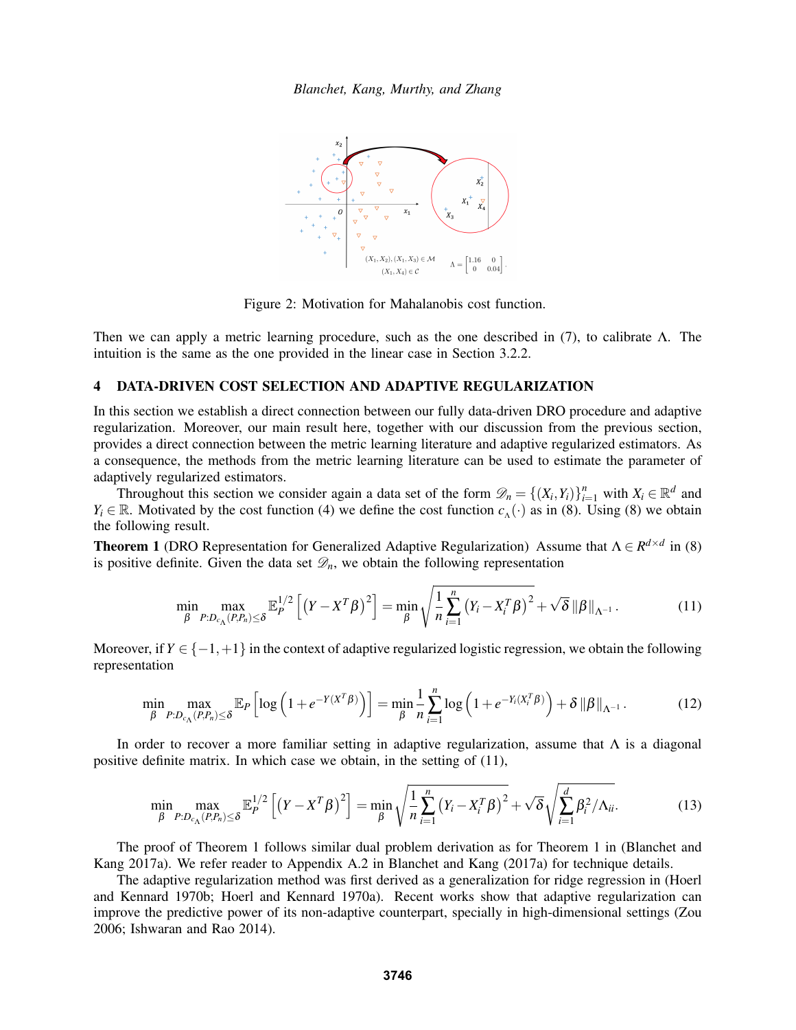

<span id="page-6-1"></span>Figure 2: Motivation for Mahalanobis cost function.

Then we can apply a metric learning procedure, such as the one described in [\(7\)](#page-4-1), to calibrate Λ. The intuition is the same as the one provided in the linear case in Section [3.2.2.](#page-5-0)

### 4 DATA-DRIVEN COST SELECTION AND ADAPTIVE REGULARIZATION

In this section we establish a direct connection between our fully data-driven DRO procedure and adaptive regularization. Moreover, our main result here, together with our discussion from the previous section, provides a direct connection between the metric learning literature and adaptive regularized estimators. As a consequence, the methods from the metric learning literature can be used to estimate the parameter of adaptively regularized estimators.

Throughout this section we consider again a data set of the form  $\mathcal{D}_n = \{(X_i, Y_i)\}_{i=1}^n$  with  $X_i \in \mathbb{R}^d$  and *Y<sub>i</sub>* ∈ R. Motivated by the cost function [\(4\)](#page-1-2) we define the cost function  $c_A(\cdot)$  as in [\(8\)](#page-5-1). Using (8) we obtain the following result.

<span id="page-6-0"></span>**Theorem 1** (DRO Representation for Generalized Adaptive Regularization) Assume that  $\Lambda \in R^{d \times d}$  in [\(8\)](#page-5-1) is positive definite. Given the data set  $\mathcal{D}_n$ , we obtain the following representation

<span id="page-6-2"></span>
$$
\min_{\beta} \max_{P:D_{c_{\Lambda}}(P,P_n) \leq \delta} \mathbb{E}_P^{1/2} \left[ \left( Y - X^T \beta \right)^2 \right] = \min_{\beta} \sqrt{\frac{1}{n} \sum_{i=1}^n \left( Y_i - X_i^T \beta \right)^2} + \sqrt{\delta} \left\| \beta \right\|_{\Lambda^{-1}}.
$$
\n(11)

Moreover, if  $Y \in \{-1,+1\}$  in the context of adaptive regularized logistic regression, we obtain the following representation

$$
\min_{\beta} \max_{P:D_{c_{\Lambda}}(P,P_n) \leq \delta} \mathbb{E}_P \left[ \log \left( 1 + e^{-Y(X^T \beta)} \right) \right] = \min_{\beta} \frac{1}{n} \sum_{i=1}^n \log \left( 1 + e^{-Y_i(X_i^T \beta)} \right) + \delta \|\beta\|_{\Lambda^{-1}}.
$$
 (12)

In order to recover a more familiar setting in adaptive regularization, assume that  $\Lambda$  is a diagonal positive definite matrix. In which case we obtain, in the setting of [\(11\)](#page-6-2),

<span id="page-6-3"></span>
$$
\min_{\beta} \max_{P:D_{c_{\Lambda}}(P,P_n) \leq \delta} \mathbb{E}_P^{1/2} \left[ \left( Y - X^T \beta \right)^2 \right] = \min_{\beta} \sqrt{\frac{1}{n} \sum_{i=1}^n \left( Y_i - X_i^T \beta \right)^2} + \sqrt{\delta} \sqrt{\sum_{i=1}^d \beta_i^2 / \Lambda_{ii}}.
$$
 (13)

The proof of Theorem [1](#page-6-0) follows similar dual problem derivation as for Theorem 1 in [\(Blanchet and](#page-11-13) [Kang 2017a\)](#page-11-13). We refer reader to Appendix A.2 in [Blanchet and Kang \(2017a\)](#page-11-13) for technique details.

The adaptive regularization method was first derived as a generalization for ridge regression in [\(Hoerl](#page-11-14) [and Kennard 1970b;](#page-11-14) [Hoerl and Kennard 1970a\)](#page-11-15). Recent works show that adaptive regularization can improve the predictive power of its non-adaptive counterpart, specially in high-dimensional settings [\(Zou](#page-11-16) [2006;](#page-11-16) [Ishwaran and Rao 2014\)](#page-11-8).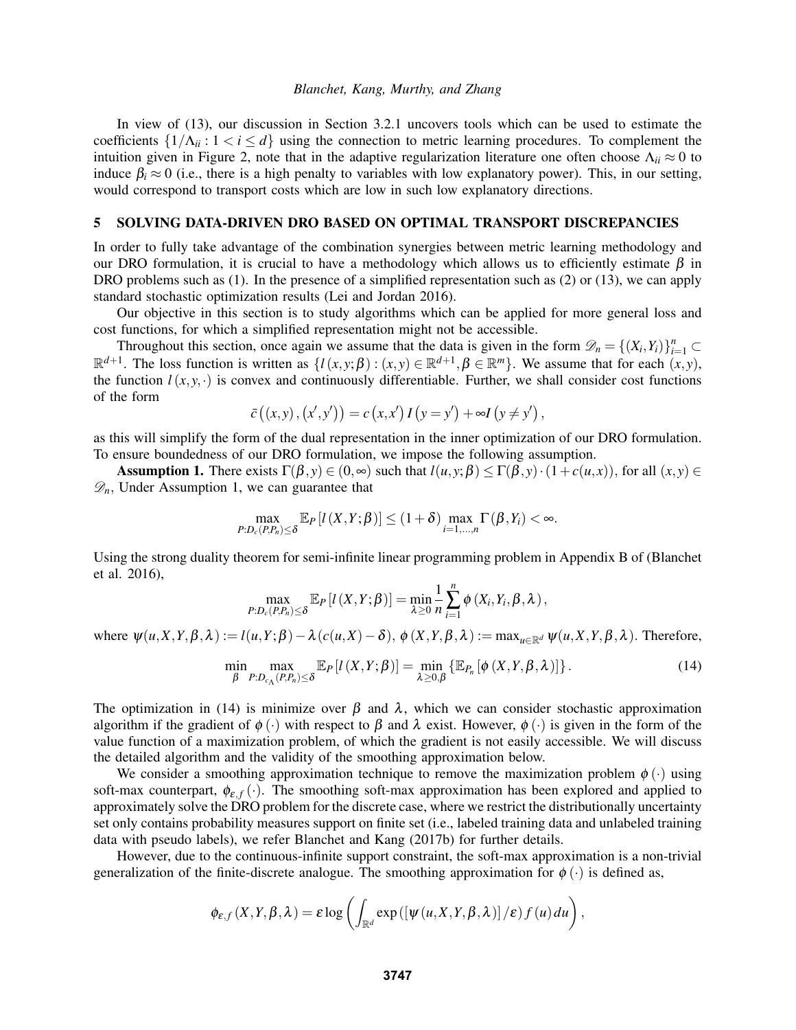In view of [\(13\)](#page-6-3), our discussion in Section [3.2.1](#page-4-2) uncovers tools which can be used to estimate the coefficients  $\{1/\Lambda_{ii}: 1 < i \leq d\}$  using the connection to metric learning procedures. To complement the intuition given in Figure [2,](#page-6-1) note that in the adaptive regularization literature one often choose  $\Lambda_{ii} \approx 0$  to induce  $\beta_i \approx 0$  (i.e., there is a high penalty to variables with low explanatory power). This, in our setting, would correspond to transport costs which are low in such low explanatory directions.

### <span id="page-7-1"></span>5 SOLVING DATA-DRIVEN DRO BASED ON OPTIMAL TRANSPORT DISCREPANCIES

In order to fully take advantage of the combination synergies between metric learning methodology and our DRO formulation, it is crucial to have a methodology which allows us to efficiently estimate  $\beta$  in DRO problems such as [\(1\)](#page-0-0). In the presence of a simplified representation such as [\(2\)](#page-1-0) or [\(13\)](#page-6-3), we can apply standard stochastic optimization results [\(Lei and Jordan 2016\)](#page-11-17).

Our objective in this section is to study algorithms which can be applied for more general loss and cost functions, for which a simplified representation might not be accessible.

Throughout this section, once again we assume that the data is given in the form  $\mathcal{D}_n = \{(X_i, Y_i)\}_{i=1}^n \subset$  $\mathbb{R}^{d+1}$ . The loss function is written as  $\{l(x, y; \beta) : (x, y) \in \mathbb{R}^{d+1}, \beta \in \mathbb{R}^m\}$ . We assume that for each  $(x, y)$ , the function  $l(x, y, \cdot)$  is convex and continuously differentiable. Further, we shall consider cost functions of the form

$$
\bar{c}\left((x,y),(x',y')\right) = c\left(x,x'\right)I\left(y=y'\right) + \infty I\left(y \neq y'\right),\,
$$

as this will simplify the form of the dual representation in the inner optimization of our DRO formulation. To ensure boundedness of our DRO formulation, we impose the following assumption.

Assumption 1. There exists  $\Gamma(\beta, y) \in (0, \infty)$  such that  $l(u, y; \beta) \leq \Gamma(\beta, y) \cdot (1 + c(u, x))$ , for all  $(x, y) \in$  $\mathscr{D}_n$ , Under Assumption 1, we can guarantee that

$$
\max_{P:D_c(P,P_n)\leq \delta} \mathbb{E}_P\left[l(X,Y;\beta)\right] \leq (1+\delta) \max_{i=1,\dots,n} \Gamma(\beta,Y_i) < \infty.
$$

Using the strong duality theorem for semi-infinite linear programming problem in Appendix B of [\(Blanchet](#page-11-0) [et al. 2016\)](#page-11-0),

$$
\max_{P:D_c(P,P_n)\leq\delta}\mathbb{E}_P\left[l\left(X,Y;\boldsymbol{\beta}\right)\right]=\min_{\lambda\geq0}\frac{1}{n}\sum_{i=1}^n\phi\left(X_i,Y_i,\boldsymbol{\beta},\lambda\right),
$$

where  $\psi(u, X, Y, \beta, \lambda) := l(u, Y; \beta) - \lambda (c(u, X) - \delta), \phi(X, Y, \beta, \lambda) := \max_{u \in \mathbb{R}^d} \psi(u, X, Y, \beta, \lambda)$ . Therefore,

<span id="page-7-0"></span>
$$
\min_{\beta} \max_{P:D_{c_{\Lambda}}(P,P_n) \leq \delta} \mathbb{E}_P[l(X,Y;\beta)] = \min_{\lambda \geq 0,\beta} \left\{ \mathbb{E}_{P_n}[\phi(X,Y,\beta,\lambda)] \right\}.
$$
 (14)

The optimization in [\(14\)](#page-7-0) is minimize over  $\beta$  and  $\lambda$ , which we can consider stochastic approximation algorithm if the gradient of  $\phi(\cdot)$  with respect to  $\beta$  and  $\lambda$  exist. However,  $\phi(\cdot)$  is given in the form of the value function of a maximization problem, of which the gradient is not easily accessible. We will discuss the detailed algorithm and the validity of the smoothing approximation below.

We consider a smoothing approximation technique to remove the maximization problem  $\phi(\cdot)$  using soft-max counterpart,  $\phi_{\varepsilon,f}(\cdot)$ . The smoothing soft-max approximation has been explored and applied to approximately solve the DRO problem for the discrete case, where we restrict the distributionally uncertainty set only contains probability measures support on finite set (i.e., labeled training data and unlabeled training data with pseudo labels), we refer [Blanchet and Kang \(2017b\)](#page-11-18) for further details.

However, due to the continuous-infinite support constraint, the soft-max approximation is a non-trivial generalization of the finite-discrete analogue. The smoothing approximation for  $\phi(\cdot)$  is defined as,

$$
\phi_{\varepsilon,f}(X,Y,\beta,\lambda)=\varepsilon\log\left(\int_{\mathbb{R}^d}\exp\left(\left[\psi(u,X,Y,\beta,\lambda)\right] / \varepsilon\right)f(u)\,du\right),\,
$$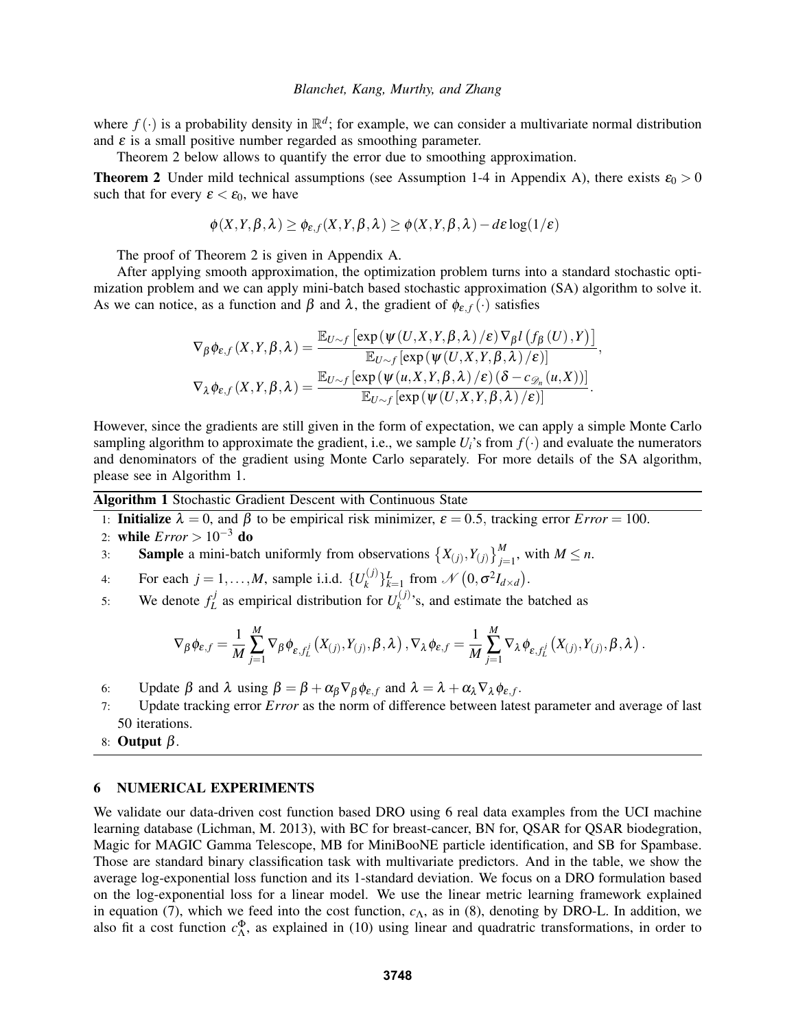where  $f(\cdot)$  is a probability density in  $\mathbb{R}^d$ ; for example, we can consider a multivariate normal distribution and  $\varepsilon$  is a small positive number regarded as smoothing parameter.

Theorem [2](#page-8-0) below allows to quantify the error due to smoothing approximation.

<span id="page-8-0"></span>**Theorem 2** Under mild technical assumptions (see Assumption 1-4 in Appendix [A\)](#page-9-0), there exists  $\varepsilon_0 > 0$ such that for every  $\varepsilon < \varepsilon_0$ , we have

$$
\phi(X,Y,\beta,\lambda) \geq \phi_{\varepsilon,f}(X,Y,\beta,\lambda) \geq \phi(X,Y,\beta,\lambda) - d\varepsilon \log(1/\varepsilon)
$$

The proof of Theorem [2](#page-8-0) is given in Appendix [A.](#page-9-0)

After applying smooth approximation, the optimization problem turns into a standard stochastic optimization problem and we can apply mini-batch based stochastic approximation (SA) algorithm to solve it. As we can notice, as a function and  $\beta$  and  $\lambda$ , the gradient of  $\phi_{\varepsilon,f}(\cdot)$  satisfies

$$
\nabla_{\beta} \phi_{\varepsilon,f}(X,Y,\beta,\lambda) = \frac{\mathbb{E}_{U \sim f} \left[ \exp(\psi(U,X,Y,\beta,\lambda)/\varepsilon) \nabla_{\beta} l \left( f_{\beta}(U),Y \right) \right]}{\mathbb{E}_{U \sim f} \left[ \exp(\psi(U,X,Y,\beta,\lambda)/\varepsilon) \right]},
$$
  

$$
\nabla_{\lambda} \phi_{\varepsilon,f}(X,Y,\beta,\lambda) = \frac{\mathbb{E}_{U \sim f} \left[ \exp(\psi(u,X,Y,\beta,\lambda)/\varepsilon) (\delta - c_{\mathcal{D}_n}(u,X)) \right]}{\mathbb{E}_{U \sim f} \left[ \exp(\psi(U,X,Y,\beta,\lambda)/\varepsilon) \right]}.
$$

However, since the gradients are still given in the form of expectation, we can apply a simple Monte Carlo sampling algorithm to approximate the gradient, i.e., we sample  $U_i$ 's from  $f(\cdot)$  and evaluate the numerators and denominators of the gradient using Monte Carlo separately. For more details of the SA algorithm, please see in Algorithm [1.](#page-8-1)

<span id="page-8-1"></span>Algorithm 1 Stochastic Gradient Descent with Continuous State

- 1: **Initialize**  $\lambda = 0$ , and  $\beta$  to be empirical risk minimizer,  $\varepsilon = 0.5$ , tracking error *Error* = 100.
- 2: while *Error* > 10−<sup>3</sup> do
- 3: **Sample** a mini-batch uniformly from observations  $\{X_{(j)}, Y_{(j)}\}_{j=1}^M$ , with  $M \le n$ .
- 4: For each  $j = 1, \ldots, M$ , sample i.i.d.  $\{U_k^{(j)}\}$  $\{f_k^{(j)}\}_{k=1}^L$  from  $\mathcal{N}\left(0, \sigma^2 I_{d \times d}\right)$ .
- 5: We denote  $f_L^j$  $L_L^{j}$  as empirical distribution for  $U_k^{(j)}$  $k_k^{(1)}$ 's, and estimate the batched as

$$
\nabla_{\beta} \phi_{\varepsilon,f} = \frac{1}{M} \sum_{j=1}^{M} \nabla_{\beta} \phi_{\varepsilon,f_{L}^{j}}(X_{(j)},Y_{(j)},\beta,\lambda), \nabla_{\lambda} \phi_{\varepsilon,f} = \frac{1}{M} \sum_{j=1}^{M} \nabla_{\lambda} \phi_{\varepsilon,f_{L}^{j}}(X_{(j)},Y_{(j)},\beta,\lambda).
$$

- 6: Update  $\beta$  and  $\lambda$  using  $\beta = \beta + \alpha_{\beta} \nabla_{\beta} \phi_{\varepsilon,f}$  and  $\lambda = \lambda + \alpha_{\lambda} \nabla_{\lambda} \phi_{\varepsilon,f}$ .
- 7: Update tracking error *Error* as the norm of difference between latest parameter and average of last 50 iterations.
- 8: Output  $β$ .

### 6 NUMERICAL EXPERIMENTS

We validate our data-driven cost function based DRO using 6 real data examples from the UCI machine learning database [\(Lichman, M. 2013\)](#page-11-19), with BC for breast-cancer, BN for, QSAR for QSAR biodegration, Magic for MAGIC Gamma Telescope, MB for MiniBooNE particle identification, and SB for Spambase. Those are standard binary classification task with multivariate predictors. And in the table, we show the average log-exponential loss function and its 1-standard deviation. We focus on a DRO formulation based on the log-exponential loss for a linear model. We use the linear metric learning framework explained in equation [\(7\)](#page-4-1), which we feed into the cost function,  $c_\Lambda$ , as in [\(8\)](#page-5-1), denoting by DRO-L. In addition, we also fit a cost function  $c_{\Lambda}^{\Phi}$ , as explained in [\(10\)](#page-5-2) using linear and quadratric transformations, in order to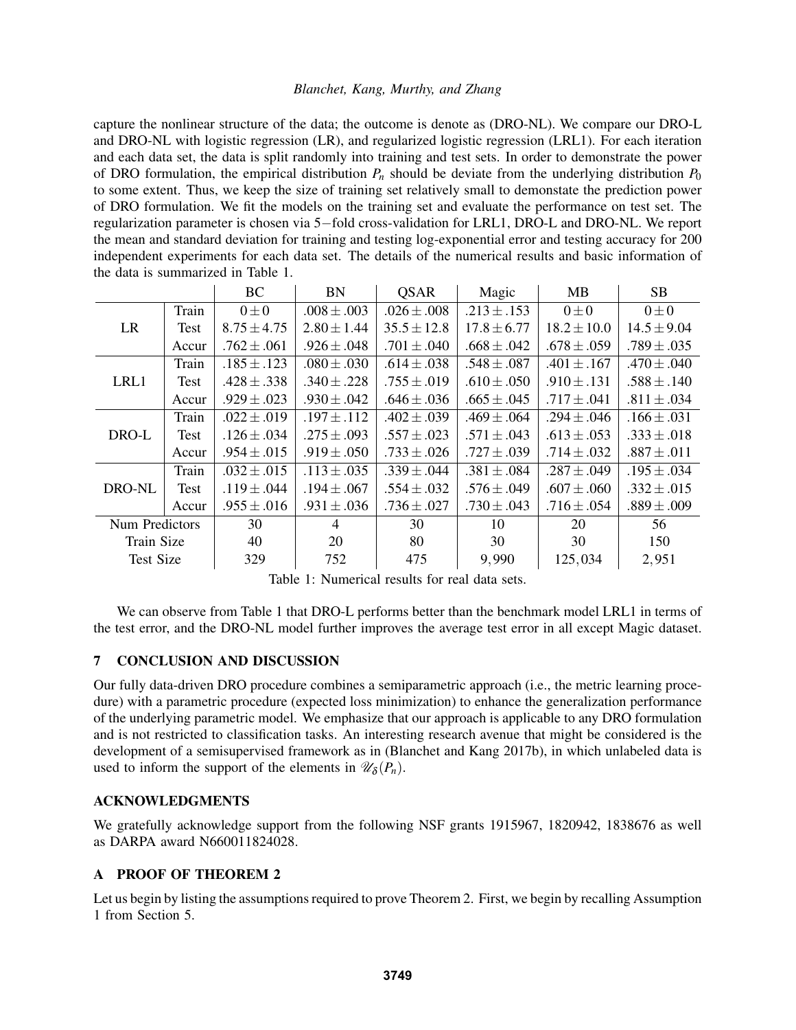capture the nonlinear structure of the data; the outcome is denote as (DRO-NL). We compare our DRO-L and DRO-NL with logistic regression (LR), and regularized logistic regression (LRL1). For each iteration and each data set, the data is split randomly into training and test sets. In order to demonstrate the power of DRO formulation, the empirical distribution  $P_n$  should be deviate from the underlying distribution  $P_0$ to some extent. Thus, we keep the size of training set relatively small to demonstate the prediction power of DRO formulation. We fit the models on the training set and evaluate the performance on test set. The regularization parameter is chosen via 5−fold cross-validation for LRL1, DRO-L and DRO-NL. We report the mean and standard deviation for training and testing log-exponential error and testing accuracy for 200 independent experiments for each data set. The details of the numerical results and basic information of the data is summarized in Table [1.](#page-9-1)

|                  |       | <b>BC</b>       | <b>BN</b>       | <b>OSAR</b>     | Magic           | MB              | <b>SB</b>       |
|------------------|-------|-----------------|-----------------|-----------------|-----------------|-----------------|-----------------|
| <b>LR</b>        | Train | $0\pm 0$        | $.008 \pm .003$ | $.026 \pm .008$ | $.213 \pm .153$ | $0\pm 0$        | $0\pm 0$        |
|                  | Test  | $8.75 \pm 4.75$ | $2.80 \pm 1.44$ | $35.5 \pm 12.8$ | $17.8 \pm 6.77$ | $18.2 \pm 10.0$ | $14.5 \pm 9.04$ |
|                  | Accur | $.762 \pm .061$ | $.926 \pm .048$ | $.701 \pm .040$ | $.668 \pm .042$ | $.678 \pm .059$ | $.789 \pm .035$ |
| LRL1             | Train | $.185 \pm .123$ | $.080 \pm .030$ | $.614 \pm .038$ | $.548 \pm .087$ | $.401 \pm .167$ | $.470 \pm .040$ |
|                  | Test  | $.428 \pm .338$ | $.340 \pm .228$ | $.755 \pm .019$ | $.610 \pm .050$ | $.910 \pm .131$ | $.588 \pm .140$ |
|                  | Accur | $.929 \pm .023$ | $.930 \pm .042$ | $.646 \pm .036$ | $.665 \pm .045$ | $.717 \pm .041$ | $.811 \pm .034$ |
| DRO-L            | Train | $.022 \pm .019$ | $.197 \pm .112$ | $.402 \pm .039$ | $.469 \pm .064$ | $.294 \pm .046$ | $.166 \pm .031$ |
|                  | Test  | $.126 \pm .034$ | $.275 \pm .093$ | $.557 \pm .023$ | $.571 \pm .043$ | $.613 \pm .053$ | $.333 \pm .018$ |
|                  | Accur | $.954 \pm .015$ | $.919 \pm .050$ | $.733 \pm .026$ | $.727 \pm .039$ | $.714 \pm .032$ | $.887 \pm .011$ |
| DRO-NL           | Train | $.032 \pm .015$ | $.113 \pm .035$ | $.339 \pm .044$ | $.381 \pm .084$ | $.287 \pm .049$ | $.195 \pm .034$ |
|                  | Test  | $.119 \pm .044$ | $.194 \pm .067$ | $.554 \pm .032$ | $.576 \pm .049$ | $.607 \pm .060$ | $.332 \pm .015$ |
|                  | Accur | $.955 \pm .016$ | $.931 \pm .036$ | $.736 \pm .027$ | $.730 \pm .043$ | $.716 \pm .054$ | $.889 \pm .009$ |
| Num Predictors   |       | 30              | 4               | 30              | 10              | 20              | 56              |
| Train Size       |       | 40              | 20              | 80              | 30              | 30              | 150             |
| <b>Test Size</b> |       | 329             | 752             | 475             | 9,990           | 125,034         | 2,951           |

<span id="page-9-1"></span>Table 1: Numerical results for real data sets.

We can observe from Table [1](#page-9-1) that DRO-L performs better than the benchmark model LRL1 in terms of the test error, and the DRO-NL model further improves the average test error in all except Magic dataset.

### 7 CONCLUSION AND DISCUSSION

Our fully data-driven DRO procedure combines a semiparametric approach (i.e., the metric learning procedure) with a parametric procedure (expected loss minimization) to enhance the generalization performance of the underlying parametric model. We emphasize that our approach is applicable to any DRO formulation and is not restricted to classification tasks. An interesting research avenue that might be considered is the development of a semisupervised framework as in [\(Blanchet and Kang 2017b\)](#page-11-18), in which unlabeled data is used to inform the support of the elements in  $\mathscr{U}_{\delta}(P_n)$ .

## ACKNOWLEDGMENTS

We gratefully acknowledge support from the following NSF grants 1915967, 1820942, 1838676 as well as DARPA award N660011824028.

### <span id="page-9-0"></span>A PROOF OF THEOREM [2](#page-8-0)

Let us begin by listing the assumptions required to prove Theorem [2.](#page-8-0) First, we begin by recalling Assumption 1 from Section [5.](#page-7-1)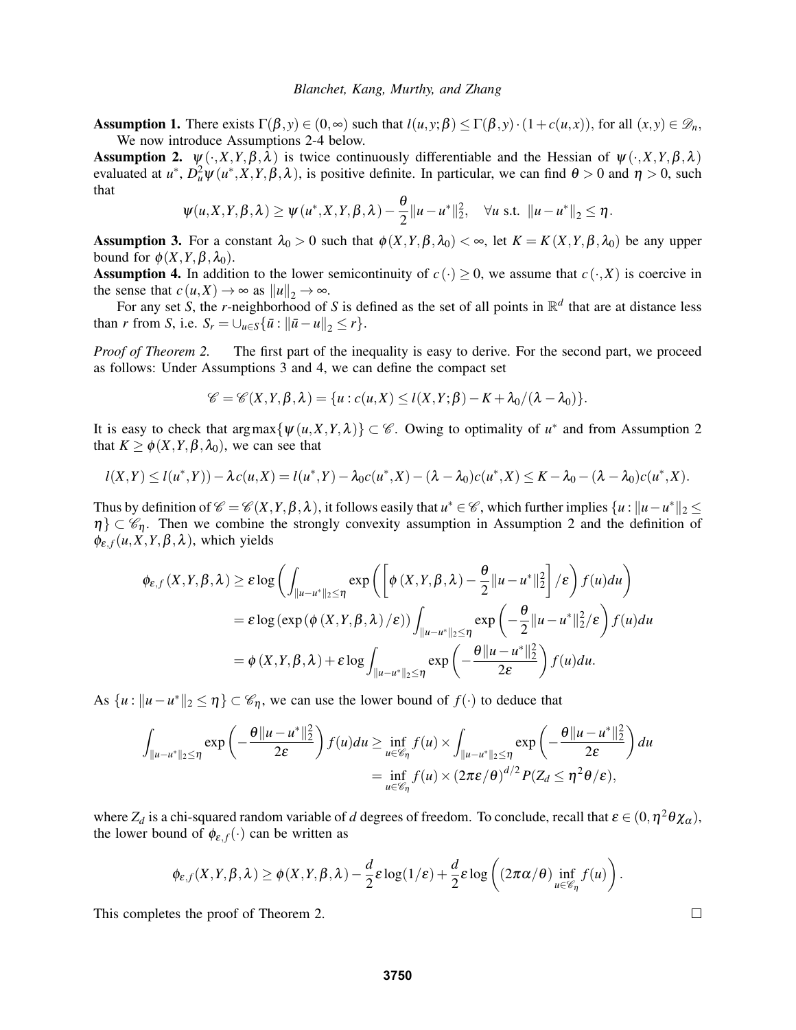Assumption 1. There exists  $\Gamma(\beta, y) \in (0, \infty)$  such that  $l(u, y; \beta) \leq \Gamma(\beta, y) \cdot (1 + c(u, x))$ , for all  $(x, y) \in \mathcal{D}_n$ , We now introduce Assumptions 2-4 below.

**Assumption 2.**  $\psi(\cdot, X, Y, \beta, \lambda)$  is twice continuously differentiable and the Hessian of  $\psi(\cdot, X, Y, \beta, \lambda)$ evaluated at  $u^*$ ,  $D_u^2 \psi(u^*, X, Y, \beta, \lambda)$ , is positive definite. In particular, we can find  $\theta > 0$  and  $\eta > 0$ , such that

$$
\psi(u, X, Y, \beta, \lambda) \geq \psi(u^*, X, Y, \beta, \lambda) - \frac{\theta}{2} ||u - u^*||_2^2, \quad \forall u \text{ s.t. } ||u - u^*||_2 \leq \eta.
$$

**Assumption 3.** For a constant  $\lambda_0 > 0$  such that  $\phi(X, Y, \beta, \lambda_0) < \infty$ , let  $K = K(X, Y, \beta, \lambda_0)$  be any upper bound for  $\phi(X, Y, \beta, \lambda_0)$ .

**Assumption 4.** In addition to the lower semicontinuity of  $c(\cdot) \ge 0$ , we assume that  $c(\cdot, X)$  is coercive in the sense that  $c(u,X) \to \infty$  as  $||u||_2 \to \infty$ .

For any set *S*, the *r*-neighborhood of *S* is defined as the set of all points in  $\mathbb{R}^d$  that are at distance less than *r* from *S*, i.e.  $S_r = \bigcup_{u \in S} {\{\bar{u} : ||\bar{u} - u||_2 \le r\}}.$ 

*Proof of Theorem [2.](#page-8-0)* The first part of the inequality is easy to derive. For the second part, we proceed as follows: Under Assumptions 3 and 4, we can define the compact set

$$
\mathscr{C}=\mathscr{C}(X,Y,\beta,\lambda)=\{u: c(u,X)\leq l(X,Y;\beta)-K+\lambda_0/(\lambda-\lambda_0)\}.
$$

It is easy to check that  $\arg \max \{ \psi(u, X, Y, \lambda) \} \subset \mathcal{C}$ . Owing to optimality of  $u^*$  and from Assumption 2 that  $K \geq \phi(X, Y, \beta, \lambda_0)$ , we can see that

$$
l(X,Y) \leq l(u^*,Y) - \lambda c(u,X) = l(u^*,Y) - \lambda_0 c(u^*,X) - (\lambda - \lambda_0)c(u^*,X) \leq K - \lambda_0 - (\lambda - \lambda_0)c(u^*,X).
$$

Thus by definition of  $\mathscr{C} = \mathscr{C}(X,Y,\beta,\lambda)$ , it follows easily that  $u^* \in \mathscr{C}$ , which further implies  $\{u : ||u - u^*||_2 \leq$  $\eta$   $\subset \mathscr{C}_n$ . Then we combine the strongly convexity assumption in Assumption 2 and the definition of  $\phi_{\varepsilon,f}(u,X,Y,\beta,\lambda)$ , which yields

$$
\begin{split} \phi_{\varepsilon,f}(X,Y,\beta,\lambda) &\geq \varepsilon \log \left( \int_{\|u-u^*\|_2 \leq \eta} \exp \left( \left[ \phi \left( X,Y,\beta,\lambda \right) - \frac{\theta}{2} \|u - u^*\|_2^2 \right] / \varepsilon \right) f(u) du \right) \\ &= \varepsilon \log \left( \exp \left( \phi \left( X,Y,\beta,\lambda \right) / \varepsilon \right) \right) \int_{\|u-u^*\|_2 \leq \eta} \exp \left( -\frac{\theta}{2} \|u - u^*\|_2^2 / \varepsilon \right) f(u) du \\ &= \phi \left( X,Y,\beta,\lambda \right) + \varepsilon \log \int_{\|u - u^*\|_2 \leq \eta} \exp \left( -\frac{\theta \|u - u^*\|_2^2}{2\varepsilon} \right) f(u) du. \end{split}
$$

As  $\{u: ||u-u^*||_2 \leq \eta\} \subset \mathscr{C}_{\eta}$ , we can use the lower bound of  $f(\cdot)$  to deduce that

$$
\int_{\|u-u^*\|_2 \leq \eta} \exp\left(-\frac{\theta\|u-u^*\|_2^2}{2\varepsilon}\right) f(u) du \geq \inf_{u \in \mathscr{C}_{\eta}} f(u) \times \int_{\|u-u^*\|_2 \leq \eta} \exp\left(-\frac{\theta\|u-u^*\|_2^2}{2\varepsilon}\right) du
$$
  
= 
$$
\inf_{u \in \mathscr{C}_{\eta}} f(u) \times (2\pi\varepsilon/\theta)^{d/2} P(Z_d \leq \eta^2 \theta/\varepsilon),
$$

where  $Z_d$  is a chi-squared random variable of *d* degrees of freedom. To conclude, recall that  $\varepsilon \in (0, \eta^2 \theta \chi_\alpha)$ , the lower bound of  $\phi_{\varepsilon,f}(\cdot)$  can be written as

$$
\phi_{\varepsilon,f}(X,Y,\beta,\lambda) \geq \phi(X,Y,\beta,\lambda) - \frac{d}{2}\varepsilon \log(1/\varepsilon) + \frac{d}{2}\varepsilon \log\left((2\pi\alpha/\theta)\inf_{u\in\mathscr{C}_{\eta}}f(u)\right).
$$

This completes the proof of Theorem [2.](#page-8-0)

 $\Box$